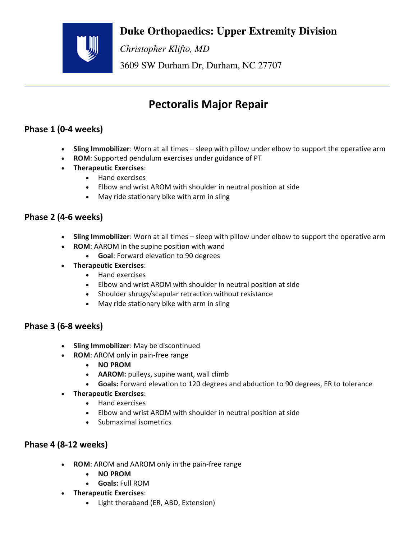## **Duke Orthopaedics: Upper Extremity Division**



*Christopher Klifto, MD* 

3609 SW Durham Dr, Durham, NC 27707

# **Pectoralis Major Repair**

### **Phase 1 (0-4 weeks)**

- **Sling Immobilizer**: Worn at all times sleep with pillow under elbow to support the operative arm
- **ROM**: Supported pendulum exercises under guidance of PT
- **Therapeutic Exercises**:
	- Hand exercises
	- Elbow and wrist AROM with shoulder in neutral position at side
	- May ride stationary bike with arm in sling

#### **Phase 2 (4-6 weeks)**

- **Sling Immobilizer**: Worn at all times sleep with pillow under elbow to support the operative arm
- **ROM**: AAROM in the supine position with wand
	- **Goal**: Forward elevation to 90 degrees
- **Therapeutic Exercises**:
	- Hand exercises
	- Elbow and wrist AROM with shoulder in neutral position at side
	- Shoulder shrugs/scapular retraction without resistance
	- May ride stationary bike with arm in sling

#### **Phase 3 (6-8 weeks)**

- **Sling Immobilizer**: May be discontinued
- **ROM**: AROM only in pain-free range
	- **NO PROM**
	- **AAROM:** pulleys, supine want, wall climb
	- **Goals:** Forward elevation to 120 degrees and abduction to 90 degrees, ER to tolerance
- **Therapeutic Exercises**:
	- Hand exercises
	- Elbow and wrist AROM with shoulder in neutral position at side
	- Submaximal isometrics

#### **Phase 4 (8-12 weeks)**

- **ROM**: AROM and AAROM only in the pain-free range
	- **NO PROM**
	- **Goals:** Full ROM
- **Therapeutic Exercises**:
	- Light theraband (ER, ABD, Extension)